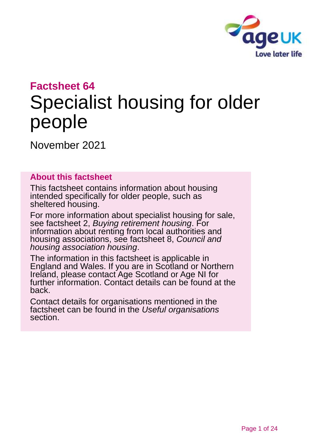

## **Factsheet 64**

# Specialist housing for older people

November 2021

#### **About this factsheet**

This factsheet contains information about housing intended specifically for older people, such as sheltered housing.

For more information about specialist housing for sale, see factsheet 2, *[Buying retirement housing](https://www.ageuk.org.uk/globalassets/age-uk/documents/factsheets/fs2_buying_retirement_housing_fcs.pdf?dtrk=true)*. For information about renting from local authorities and housing associations, see [factsheet 8,](https://www.ageuk.org.uk/globalassets/age-uk/documents/factsheets/fs8_council_and_housing_association_housing_fcs.pdf?dtrk=true) *Council and [housing association housing](https://www.ageuk.org.uk/globalassets/age-uk/documents/factsheets/fs8_council_and_housing_association_housing_fcs.pdf?dtrk=true)*.

The information in this factsheet is applicable in England and Wales. If you are in Scotland or Northern Ireland, please contact [Age Scotland or Age NI](#page-22-0) for further information. Contact details can be found at the back.

Contact details for organisations mentioned in the factsheet can be found in the *Useful [organisations](#page-19-0)* section.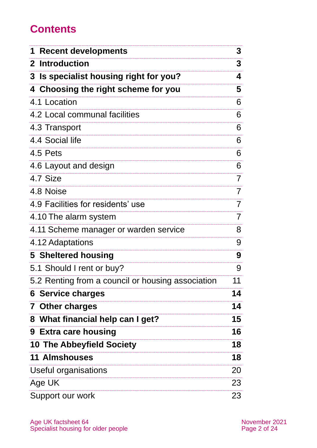# **Contents**

| <b>Recent developments</b>                        | 3  |
|---------------------------------------------------|----|
| 2 Introduction                                    | 3  |
| 3 Is specialist housing right for you?            | 4  |
| 4 Choosing the right scheme for you               | 5  |
| 4.1 Location                                      | 6  |
| 4.2 Local communal facilities                     | 6  |
| 4.3 Transport                                     | 6  |
| 4.4 Social life                                   | 6  |
| 4.5 Pets                                          | 6  |
| 4.6 Layout and design                             | 6  |
| 4.7 Size                                          | 7  |
| 4.8 Noise                                         | 7  |
| 4.9 Facilities for residents' use                 | 7  |
| 4.10 The alarm system                             | 7  |
| 4.11 Scheme manager or warden service             | 8  |
| 4.12 Adaptations                                  | 9  |
| 5 Sheltered housing                               | 9  |
| 5.1 Should I rent or buy?                         | 9  |
| 5.2 Renting from a council or housing association | 11 |
| <b>6 Service charges</b>                          | 14 |
| <b>7 Other charges</b>                            | 14 |
| 8 What financial help can I get?                  | 15 |
| 9 Extra care housing                              | 16 |
| <b>10 The Abbeyfield Society</b>                  | 18 |
| <b>11 Almshouses</b>                              | 18 |
| Useful organisations                              | 20 |
| Age UK                                            | 23 |
| Support our work                                  | 23 |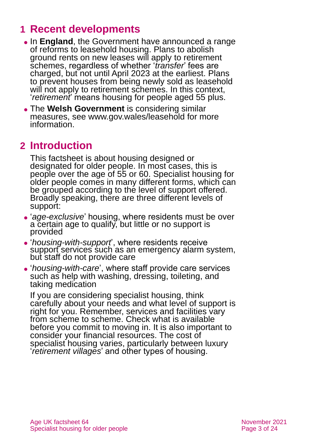# <span id="page-2-0"></span>**1 Recent developments**

- ⚫ In **England**, the Government have announced a range of reforms to leasehold housing. Plans to abolish ground rents on new leases will apply to retirement schemes, regardless of whether '*transfer*' fees are charged, but not until April 2023 at the earliest. Plans to prevent houses from being newly sold as leasehold will not apply to retirement schemes. In this context, '*retirement*' means housing for people aged 55 plus.
- ⚫ The **Welsh Government** is considering similar measures, see [www.gov.wales/leasehold](http://www.gov.wales/leasehold) for more information.

# <span id="page-2-1"></span>**2 Introduction**

This factsheet is about housing designed or designated for older people. In most cases, this is people over the age of 55 or 60. Specialist housing for older people comes in many different forms, which can be grouped according to the level of support offered. Broadly speaking, there are three different levels of support:

- ⚫ '*age-exclusive*' housing, where residents must be over a certain age to qualify, but little or no support is provided
- ⚫ '*housing-with-support*', where residents receive support services such as an emergency alarm system, but staff do not provide care
- ⚫ '*housing-with-care*', where staff provide care services such as help with washing, dressing, toileting, and taking medication

If you are considering specialist housing, think carefully about your needs and what level of support is right for you. Remember, services and facilities vary from scheme to scheme. Check what is available before you commit to moving in. It is also important to consider your financial resources. The cost of specialist housing varies, particularly between luxury '*retirement villages*' and other types of housing.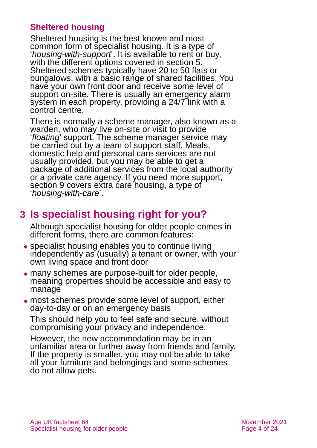#### **Sheltered housing**

Sheltered housing is the best known and most common form of specialist housing. It is a type of '*housing-with-support*'. It is available to rent or buy, with the different options covered in [section 5.](#page-8-0) Sheltered schemes typically have 20 to 50 flats or bungalows, with a basic range of shared facilities. You have your own front door and receive some level of support on-site. There is usually an emergency alarm system in each property, providing a 24/7 link with a control centre.

There is normally a scheme manager, also known as a warden, who may live on-site or visit to provide '*floating*' support. The scheme manager service may be carried out by a team of support staff. Meals, domestic help and personal care services are not usually provided, but you may be able to get a package of additional services from the local authority or a private care agency. If you need more support, [section 9](#page-15-0) covers extra care housing, a type of '*housing-with-care*'.

# <span id="page-3-0"></span>**3 Is specialist housing right for you?**

Although specialist housing for older people comes in different forms, there are common features:

- ⚫ specialist housing enables you to continue living independently as (usually) a tenant or owner, with your own living space and front door
- ⚫ many schemes are purpose-built for older people, meaning properties should be accessible and easy to manage
- ⚫ most schemes provide some level of support, either day-to-day or on an emergency basis

This should help you to feel safe and secure, without compromising your privacy and independence.

However, the new accommodation may be in an unfamiliar area or further away from friends and family. If the property is smaller, you may not be able to take all your furniture and belongings and some schemes do not allow pets.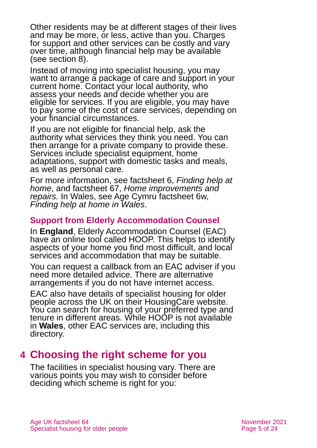Other residents may be at different stages of their lives and may be more, or less, active than you. Charges for support and other services can be costly and vary over time, although financial help may be available (see [section 8\)](#page-14-0).

Instead of moving into specialist housing, you may want to arrange a package of care and support in your current home. Contact your local authority, who assess your needs and decide whether you are eligible for services. If you are eligible, you may have to pay some of the cost of care services, depending on your financial circumstances.

If you are not eligible for financial help, ask the authority what services they think you need. You can then arrange for a private company to provide these. Services include specialist equipment, home adaptations, support with domestic tasks and meals, as well as personal care.

For more information, see factsheet 6, *[Finding help at](https://www.ageuk.org.uk/globalassets/age-uk/documents/factsheets/fs6_finding_help_at_home_fcs.pdf)  [home](https://www.ageuk.org.uk/globalassets/age-uk/documents/factsheets/fs6_finding_help_at_home_fcs.pdf)*, and factsheet 67, *[Home improvements and](https://www.ageuk.org.uk/globalassets/age-uk/documents/factsheets/fs67_home_improvements_and_repairs_fcs.pdf)  [repairs.](https://www.ageuk.org.uk/globalassets/age-uk/documents/factsheets/fs67_home_improvements_and_repairs_fcs.pdf)* In Wales, see [Age Cymru factsheet 6w](http://www.ageuk.org.uk/Global/Age-Cymru/Factsheets%20and%20information%20guides/FS6w.pdf?dtrk=true), *[Finding help at home in Wales](https://www.ageuk.org.uk/globalassets/age-cymru/documents/information-guides-and-factsheets/fs6w.pdf)*.

#### **Support from Elderly Accommodation Counsel**

In **England**, Elderly Accommodation Counsel (EAC) have an online tool called [HOOP.](https://hoop.eac.org.uk/hooptool/) This helps to identify aspects of your home you find most difficult, and local services and accommodation that may be suitable.

You can request a callback from an EAC adviser if you need more detailed advice. There are alternative arrangements if you do not have internet access.

EAC also have details of specialist housing for older people across the UK on their [HousingCare website.](https://housingcare.org/) You can search for housing of your preferred type and tenure in different areas. While HOOP is not available in **Wales**, other EAC services are, including this directory.

# <span id="page-4-0"></span>**4 Choosing the right scheme for you**

The facilities in specialist housing vary. There are various points you may wish to consider before deciding which scheme is right for you: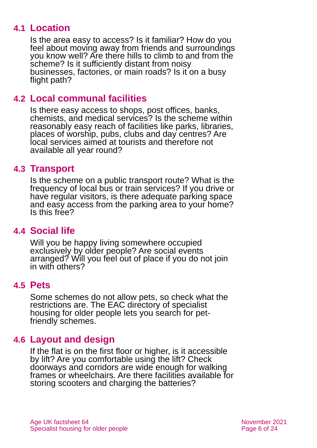### **4.1 Location**

Is the area easy to access? Is it familiar? How do you feel about moving away from friends and surroundings you know well? Are there hills to climb to and from the scheme? Is it sufficiently distant from noisy businesses, factories, or main roads? Is it on a busy flight path?

### **4.2 Local communal facilities**

Is there easy access to shops, post offices, banks, chemists, and medical services? Is the scheme within reasonably easy reach of facilities like parks, libraries, places of worship, pubs, clubs and day centres? Are local services aimed at tourists and therefore not available all year round?

#### **4.3 Transport**

Is the scheme on a public transport route? What is the frequency of local bus or train services? If you drive or have regular visitors, is there adequate parking space and easy access from the parking area to your home? Is this free?

### **4.4 Social life**

Will you be happy living somewhere occupied exclusively by older people? Are social events arranged? Will you feel out of place if you do not join in with others?

### **4.5 Pets**

Some schemes do not allow pets, so check what the restrictions are. The [EAC](#page-20-0) directory of specialist housing for older people lets you search for petfriendly schemes.

### **4.6 Layout and design**

If the flat is on the first floor or higher, is it accessible by lift? Are you comfortable using the lift? Check doorways and corridors are wide enough for walking frames or wheelchairs. Are there facilities available for storing scooters and charging the batteries?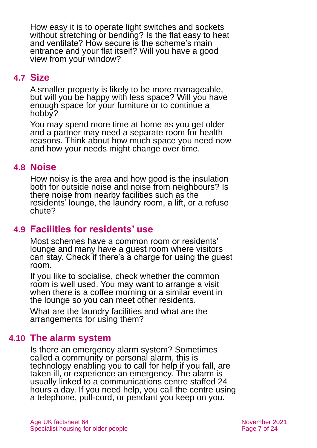How easy it is to operate light switches and sockets without stretching or bending? Is the flat easy to heat and ventilate? How secure is the scheme's main entrance and your flat itself? Will you have a good view from your window?

### **4.7 Size**

A smaller property is likely to be more manageable, but will you be happy with less space? Will you have enough space for your furniture or to continue a hobby?

You may spend more time at home as you get older and a partner may need a separate room for health reasons. Think about how much space you need now and how your needs might change over time.

#### **4.8 Noise**

How noisy is the area and how good is the insulation both for outside noise and noise from neighbours? Is there noise from nearby facilities such as the residents' lounge, the laundry room, a lift, or a refuse chute?

### **4.9 Facilities for residents' use**

Most schemes have a common room or residents' lounge and many have a guest room where visitors can stay. Check if there's a charge for using the guest room.

If you like to socialise, check whether the common room is well used. You may want to arrange a visit when there is a coffee morning or a similar event in the lounge so you can meet other residents.

What are the laundry facilities and what are the arrangements for using them?

### **4.10 The alarm system**

Is there an emergency alarm system? Sometimes called a community or personal alarm, this is technology enabling you to call for help if you fall, are taken ill, or experience an emergency. The alarm is usually linked to a communications centre staffed 24 hours a day. If you need help, you call the centre using a telephone, pull-cord, or pendant you keep on you.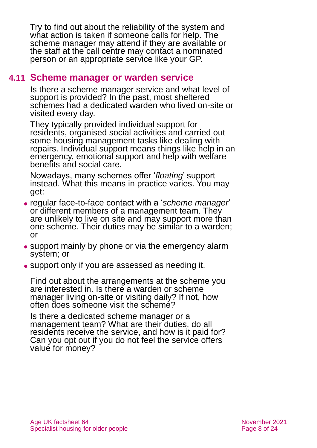Try to find out about the reliability of the system and what action is taken if someone calls for help. The scheme manager may attend if they are available or the staff at the call centre may contact a nominated person or an appropriate service like your GP.

#### **4.11 Scheme manager or warden service**

Is there a scheme manager service and what level of support is provided? In the past, most sheltered schemes had a dedicated warden who lived on-site or visited every day.

They typically provided individual support for residents, organised social activities and carried out some housing management tasks like dealing with repairs. Individual support means things like help in an emergency, emotional support and help with welfare benefits and social care.

Nowadays, many schemes offer '*floating*' support instead. What this means in practice varies. You may get:

- ⚫ regular face-to-face contact with a '*scheme manager*' or different members of a management team. They are unlikely to live on site and may support more than one scheme. Their duties may be similar to a warden; or
- support mainly by phone or via the emergency alarm system; or
- support only if you are assessed as needing it.

Find out about the arrangements at the scheme you are interested in. Is there a warden or scheme manager living on-site or visiting daily? If not, how often does someone visit the scheme?

Is there a dedicated scheme manager or a management team? What are their duties, do all residents receive the service, and how is it paid for? Can you opt out if you do not feel the service offers value for money?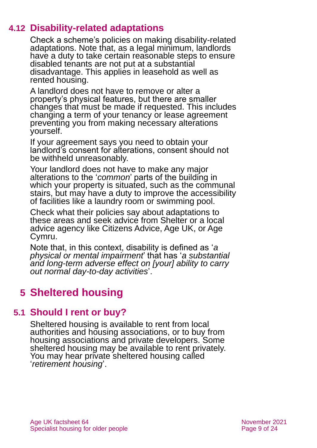### **4.12 Disability-related adaptations**

Check a scheme's policies on making disability-related adaptations. Note that, as a legal minimum, landlords have a duty to take certain reasonable steps to ensure disabled tenants are not put at a substantial disadvantage. This applies in leasehold as well as rented housing.

A landlord does not have to remove or alter a property's physical features, but there are smaller changes that must be made if requested. This includes changing a term of your tenancy or lease agreement preventing you from making necessary alterations yourself.

If your agreement says you need to obtain your landlord's consent for alterations, consent should not be withheld unreasonably.

Your landlord does not have to make any major alterations to the '*common*' parts of the building in which your property is situated, such as the communal stairs, but may have a duty to improve the accessibility of facilities like a laundry room or swimming pool.

Check what their policies say about adaptations to these areas and seek advice from [Shelter](https://www.shelter.org.uk/) or a local advice agency like [Citizens Advice,](https://www.citizensadvice.org.uk/) [Age UK, or](#page-22-1) Age [Cymru.](#page-22-1)

Note that, in this context, disability is defined as '*a physical or mental impairment*' that has '*a substantial and long-term adverse effect on [your] ability to carry out normal day-to-day activities*'.

# <span id="page-8-0"></span>**5 Sheltered housing**

### **5.1 Should I rent or buy?**

Sheltered housing is available to rent from local authorities and housing associations, or to buy from housing associations and private developers. Some sheltered housing may be available to rent privately. You may hear private sheltered housing called '*retirement housing*'.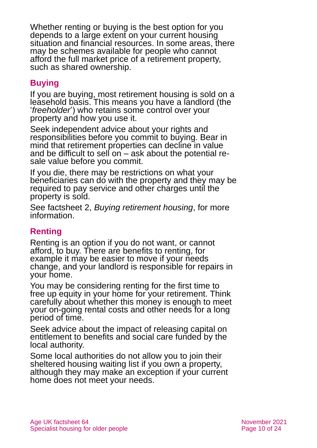Whether renting or buying is the best option for you depends to a large extent on your current housing situation and financial resources. In some areas, there may be schemes available for people who cannot afford the full market price of a retirement property, such as shared ownership.

#### **Buying**

If you are buying, most retirement housing is sold on a leasehold basis. This means you have a landlord (the '*freeholder*') who retains some control over your property and how you use it.

Seek independent advice about your rights and responsibilities before you commit to buying. Bear in mind that retirement properties can decline in value and be difficult to sell on – ask about the potential resale value before you commit.

If you die, there may be restrictions on what your beneficiaries can do with the property and they may be required to pay service and other charges until the property is sold.

See factsheet 2, *[Buying retirement housing](https://www.ageuk.org.uk/globalassets/age-uk/documents/factsheets/fs2_buying_retirement_housing_fcs.pdf)*, for more information.

#### **Renting**

Renting is an option if you do not want, or cannot afford, to buy. There are benefits to renting, for example it may be easier to move if your needs change, and your landlord is responsible for repairs in your home.

You may be considering renting for the first time to free up equity in your home for your retirement. Think carefully about whether this money is enough to meet your on-going rental costs and other needs for a long period of time.

Seek advice about the impact of releasing capital on entitlement to benefits and social care funded by the local authority.

Some local authorities do not allow you to join their sheltered housing waiting list if you own a property, although they may make an exception if your current home does not meet your needs.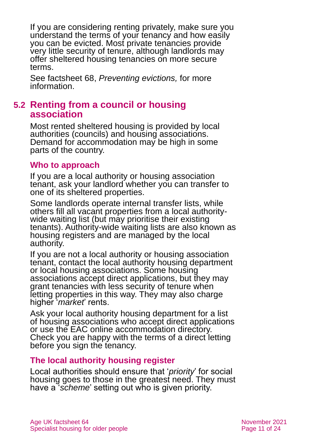If you are considering renting privately, make sure you understand the terms of your tenancy and how easily you can be evicted. Most private tenancies provide very little security of tenure, although landlords may offer sheltered housing tenancies on more secure terms.

See factsheet 68, *[Preventing evictions,](https://www.ageuk.org.uk/globalassets/age-uk/documents/factsheets/fs68_tenancy_rights_security_of_tenure_fcs.pdf)* for more information.

#### **5.2 Renting from a council or housing association**

Most rented sheltered housing is provided by local authorities (councils) and housing associations. Demand for accommodation may be high in some parts of the country.

#### **Who to approach**

If you are a local authority or housing association tenant, ask your landlord whether you can transfer to one of its sheltered properties.

Some landlords operate internal transfer lists, while others fill all vacant properties from a local authoritywide waiting list (but may prioritise their existing tenants). Authority-wide waiting lists are also known as housing registers and are managed by the local authority.

If you are not a local authority or housing association tenant, contact the local authority housing department or local housing associations. Some housing associations accept direct applications, but they may grant tenancies with less security of tenure when letting properties in this way. They may also charge higher '*market*' rents.

Ask your local authority housing department for a list of housing associations who accept direct applications or use the [EAC](#page-20-0) online accommodation directory. Check you are happy with the terms of a direct letting before you sign the tenancy.

#### **The local authority housing register**

Local authorities should ensure that '*priority*' for social housing goes to those in the greatest need. They must have a '*scheme*' setting out who is given priority.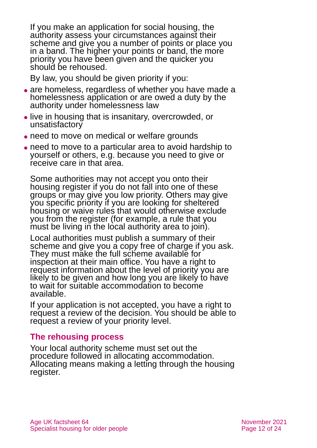If you make an application for social housing, the authority assess your circumstances against their scheme and give you a number of points or place you in a band. The higher your points or band, the more priority you have been given and the quicker you should be rehoused.

By law, you should be given priority if you:

- are homeless, regardless of whether you have made a homelessness application or are owed a duty by the authority under homelessness law
- ⚫ live in housing that is insanitary, overcrowded, or unsatisfactory
- need to move on medical or welfare grounds
- ⚫ need to move to a particular area to avoid hardship to yourself or others, e.g. because you need to give or receive care in that area.

Some authorities may not accept you onto their housing register if you do not fall into one of these groups or may give you low priority. Others may give you specific priority if you are looking for sheltered housing or waive rules that would otherwise exclude you from the register (for example, a rule that you must be living in the local authority area to join).

Local authorities must publish a summary of their scheme and give you a copy free of charge if you ask. They must make the full scheme available for inspection at their main office. You have a right to request information about the level of priority you are likely to be given and how long you are likely to have to wait for suitable accommodation to become available.

If your application is not accepted, you have a right to request a review of the decision. You should be able to request a review of your priority level.

#### **The rehousing process**

Your local authority scheme must set out the procedure followed in allocating accommodation. Allocating means making a letting through the housing register.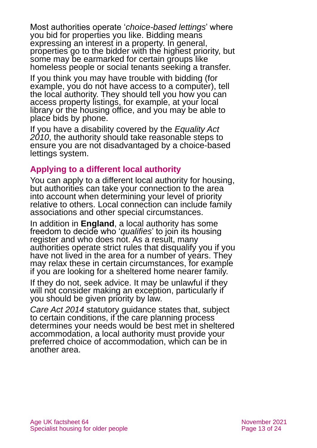Most authorities operate '*choice-based lettings*' where you bid for properties you like. Bidding means expressing an interest in a property. In general, properties go to the bidder with the highest priority, but some may be earmarked for certain groups like homeless people or social tenants seeking a transfer.

If you think you may have trouble with bidding (for example, you do not have access to a computer), tell the local authority. They should tell you how you can access property listings, for example, at your local library or the housing office, and you may be able to place bids by phone.

If you have a disability covered by the *[Equality Act](https://www.equalityhumanrights.com/en/equality-act-2010/what-equality-act)  [2010](https://www.equalityhumanrights.com/en/equality-act-2010/what-equality-act)*, the authority should take reasonable steps to ensure you are not disadvantaged by a choice-based lettings system.

#### **Applying to a different local authority**

You can apply to a different local authority for housing, but authorities can take your connection to the area into account when determining your level of priority relative to others. Local connection can include family associations and other special circumstances.

In addition in **England**, a local authority has some freedom to decide who '*qualifies*' to join its housing register and who does not. As a result, many authorities operate strict rules that disqualify you if you have not lived in the area for a number of years. They may relax these in certain circumstances, for example if you are looking for a sheltered home nearer family.

If they do not, seek advice. It may be unlawful if they will not consider making an exception, particularly if you should be given priority by law.

*Care Act 2014* statutory guidance states that, subject to certain conditions, if the care planning process determines your needs would be best met in sheltered accommodation, a local authority must provide your preferred choice of accommodation, which can be in another area.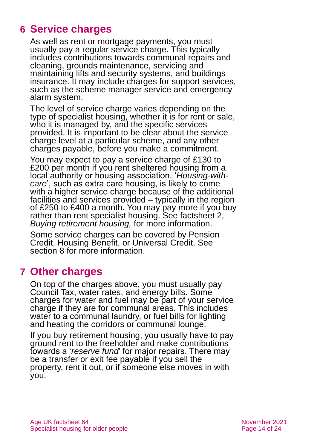# <span id="page-13-0"></span>**6 Service charges**

As well as rent or mortgage payments, you must usually pay a regular service charge. This typically includes contributions towards communal repairs and cleaning, grounds maintenance, servicing and maintaining lifts and security systems, and buildings insurance. It may include charges for support services, such as the scheme manager service and emergency alarm system.

The level of service charge varies depending on the type of specialist housing, whether it is for rent or sale, who it is managed by, and the specific services provided. It is important to be clear about the service charge level at a particular scheme, and any other charges payable, before you make a commitment.

You may expect to pay a service charge of £130 to £200 per month if you rent sheltered housing from a local authority or housing association. '*Housing-withcare*', such as extra care housing, is likely to come with a higher service charge because of the additional facilities and services provided – typically in the region of £250 to £400 a month. You may pay more if you buy rather than rent specialist housing. See factsheet 2, *[Buying retirement housing,](https://www.ageuk.org.uk/globalassets/age-uk/documents/factsheets/fs2_buying_retirement_housing_fcs.pdf)* for more information.

Some service charges can be covered by Pension Credit, Housing Benefit, or Universal Credit. See [section 8](#page-14-0) for more information.

### <span id="page-13-1"></span>**7 Other charges**

On top of the charges above, you must usually pay Council Tax, water rates, and energy bills. Some charges for water and fuel may be part of your service charge if they are for communal areas. This includes water to a communal laundry, or fuel bills for lighting and heating the corridors or communal lounge.

If you buy retirement housing, you usually have to pay ground rent to the freeholder and make contributions towards a '*reserve fund*' for major repairs. There may be a transfer or exit fee payable if you sell the property, rent it out, or if someone else moves in with you.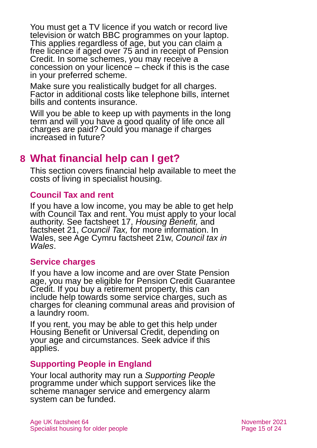You must get a TV licence if you watch or record live television or watch BBC programmes on your laptop. This applies regardless of age, but you can claim a free licence if aged over 75 and in receipt of Pension Credit. In some schemes, you may receive a concession on your licence – check if this is the case in your preferred scheme.

Make sure you realistically budget for all charges. Factor in additional costs like telephone bills, internet bills and contents insurance.

Will you be able to keep up with payments in the long term and will you have a good quality of life once all charges are paid? Could you manage if charges increased in future?

# <span id="page-14-0"></span>**8 What financial help can I get?**

This section covers financial help available to meet the costs of living in specialist housing.

#### **Council Tax and rent**

If you have a low income, you may be able to get help with Council Tax and rent. You must apply to your local authority. See factsheet 17, *[Housing Benefit,](https://www.ageuk.org.uk/globalassets/age-uk/documents/factsheets/fs17_housing_benefit_fcs.pdf)* and [factsheet 21,](https://www.ageuk.org.uk/globalassets/age-uk/documents/factsheets/fs21_council_tax_fcs.pdf) *Council Tax,* for more information. In Wales, see [Age Cymru factsheet 21w](http://www.ageuk.org.uk/Global/Age-Cymru/Factsheets%20and%20information%20guides/FS21w.pdf?dtrk=true), *[Council tax in](https://www.ageuk.org.uk/globalassets/age-cymru/documents/information-guides-and-factsheets/fs21w.pdf)  [Wales](https://www.ageuk.org.uk/globalassets/age-cymru/documents/information-guides-and-factsheets/fs21w.pdf)*.

#### **Service charges**

If you have a low income and are over State Pension age, you may be eligible for Pension Credit Guarantee Credit. If you buy a retirement property, this can include help towards some service charges, such as charges for cleaning communal areas and provision of a laundry room.

If you rent, you may be able to get this help under Housing Benefit or Universal Credit, depending on your age and circumstances. Seek advice if this applies.

#### **Supporting People in England**

Your local authority may run a *Supporting People* programme under which support services like the scheme manager service and emergency alarm system can be funded.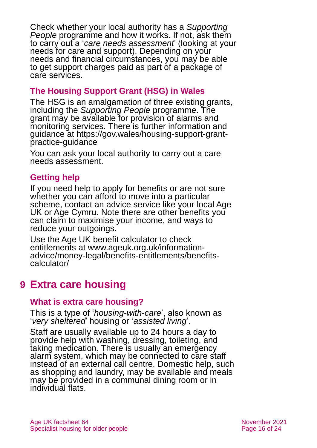Check whether your local authority has a *Supporting People* programme and how it works. If not, ask them to carry out a '*care needs assessment*' (looking at your needs for care and support). Depending on your needs and financial circumstances, you may be able to get support charges paid as part of a package of care services.

#### **The Housing Support Grant (HSG) in Wales**

The HSG is an amalgamation of three existing grants, including the *Supporting People* programme. The grant may be available for provision of alarms and monitoring services. There is further information and guidance at [https://gov.wales/housing-support-grant](https://gov.wales/housing-support-grant-practice-guidance)[practice-guidance](https://gov.wales/housing-support-grant-practice-guidance)

You can ask your local authority to carry out a care needs assessment.

#### **Getting help**

If you need help to apply for benefits or are not sure whether you can afford to move into a particular scheme, contact an advice service like your local Age UK or Age Cymru. Note there are other benefits you can claim to maximise your income, and ways to reduce your outgoings.

Use the Age UK benefit calculator to check entitlements at [www.ageuk.org.uk/information](http://www.ageuk.org.uk/information-advice/money-legal/benefits-entitlements/benefits-calculator/)[advice/money-legal/benefits-entitlements/benefits](http://www.ageuk.org.uk/information-advice/money-legal/benefits-entitlements/benefits-calculator/)[calculator/](http://www.ageuk.org.uk/information-advice/money-legal/benefits-entitlements/benefits-calculator/)

# <span id="page-15-0"></span>**9 Extra care housing**

#### **What is extra care housing?**

This is a type of '*housing-with-care*', also known as '*very sheltered*' housing or '*assisted living*'.

Staff are usually available up to 24 hours a day to provide help with washing, dressing, toileting, and taking medication. There is usually an emergency alarm system, which may be connected to care staff instead of an external call centre. Domestic help, such as shopping and laundry, may be available and meals may be provided in a communal dining room or in individual flats.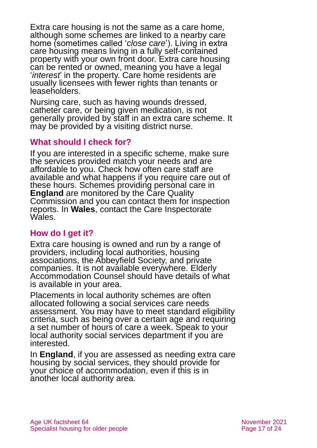Extra care housing is not the same as a care home, although some schemes are linked to a nearby care home (sometimes called '*close care*'). Living in extra care housing means living in a fully self-contained property with your own front door. Extra care housing can be rented or owned, meaning you have a legal '*interest*' in the property. Care home residents are usually licensees with fewer rights than tenants or leaseholders.

Nursing care, such as having wounds dressed, catheter care, or being given medication, is not generally provided by staff in an extra care scheme. It may be provided by a visiting district nurse.

#### **What should I check for?**

If you are interested in a specific scheme, make sure the services provided match your needs and are affordable to you. Check how often care staff are available and what happens if you require care out of these hours. Schemes providing personal care in **England** are monitored by the Care Quality Commission and you can contact them for inspection reports. In **Wales**, contact the Care Inspectorate Wales.

#### **How do I get it?**

Extra care housing is owned and run by a range of providers, including local authorities, housing associations, the Abbeyfield Society, and private companies. It is not available everywhere. [Elderly](http://www.eac.org.uk/)  [Accommodation Counsel](http://www.eac.org.uk/) should have details of what is available in your area.

Placements in local authority schemes are often allocated following a social services care needs assessment. You may have to meet standard eligibility criteria, such as being over a certain age and requiring a set number of hours of care a week. Speak to your local authority social services department if you are interested.

In **England**, if you are assessed as needing extra care housing by social services, they should provide for your choice of accommodation, even if this is in another local authority area.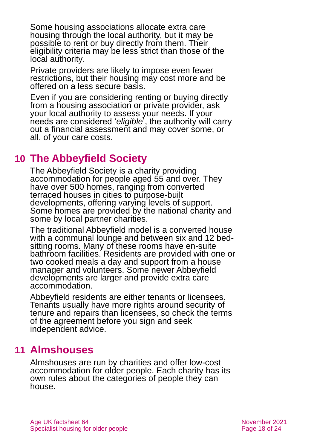Some housing associations allocate extra care housing through the local authority, but it may be possible to rent or buy directly from them. Their eligibility criteria may be less strict than those of the local authority.

Private providers are likely to impose even fewer restrictions, but their housing may cost more and be offered on a less secure basis.

Even if you are considering renting or buying directly from a housing association or private provider, ask your local authority to assess your needs. If your needs are considered '*eligible*', the authority will carry out a financial assessment and may cover some, or all, of your care costs.

# <span id="page-17-0"></span>**10 The Abbeyfield Society**

[The Abbeyfield Society](http://www.abbeyfield.com/) is a charity providing accommodation for people aged 55 and over. They have over 500 homes, ranging from converted terraced houses in cities to purpose-built developments, offering varying levels of support. Some homes are provided by the national charity and some by local partner charities.

The traditional Abbeyfield model is a converted house with a communal lounge and between six and 12 bedsitting rooms. Many of these rooms have en-suite bathroom facilities. Residents are provided with one or two cooked meals a day and support from a house manager and volunteers. Some newer Abbeyfield developments are larger and provide extra care accommodation.

Abbeyfield residents are either tenants or licensees. Tenants usually have more rights around security of tenure and repairs than licensees, so check the terms of the agreement before you sign and seek independent advice.

### <span id="page-17-1"></span>**11 Almshouses**

Almshouses are run by charities and offer low-cost accommodation for older people. Each charity has its own rules about the categories of people they can house.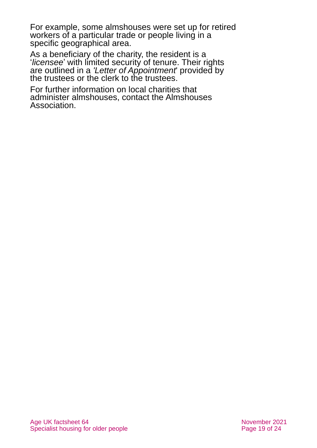For example, some almshouses were set up for retired workers of a particular trade or people living in a specific geographical area.

As a beneficiary of the charity, the resident is a '*licensee*' with limited security of tenure. Their rights are outlined in a *'Letter of Appointment*' provided by the trustees or the clerk to the trustees.

For further information on local charities that administer almshouses, contact the [Almshouses](http://www.almshouses.org/)  [Association.](http://www.almshouses.org/)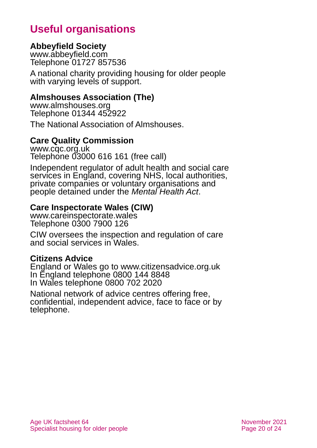# **Useful organisations**

#### <span id="page-19-0"></span>**Abbeyfield Society**

[www.abbeyfield.com](http://www.abbeyfield.com/) Telephone 01727 857536

A national charity providing housing for older people with varying levels of support.

#### **Almshouses Association (The)**

[www.almshouses.org](http://www.almshouses.org/) Telephone 01344 452922

The National Association of Almshouses.

#### **Care Quality Commission**

[www.cqc.org.uk](http://www.cqc.org.uk/) Telephone 03000 616 161 (free call)

Independent regulator of adult health and social care services in England, covering NHS, local authorities, private companies or voluntary organisations and people detained under the *Mental Health Act*.

#### **Care Inspectorate Wales (CIW)**

[www.careinspectorate.wales](http://www.careinspectorate.wales/) Telephone 0300 7900 126

CIW oversees the inspection and regulation of care and social services in Wales.

#### **Citizens Advice**

England or Wales go to [www.citizensadvice.org.uk](http://www.citizensadvice.org.uk/) In England telephone 0800 144 8848 In Wales telephone 0800 702 2020

National network of advice centres offering free, confidential, independent advice, face to face or by telephone.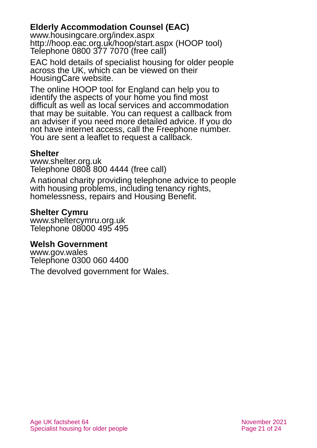#### <span id="page-20-0"></span>**Elderly Accommodation Counsel (EAC)**

[www.housingcare.org/index.aspx](http://www.housingcare.org/index.aspx) <http://hoop.eac.org.uk/hoop/start.aspx> (HOOP tool) Telephone 0800 377 7070 (free call)

EAC hold details of specialist housing for older people across the UK, which can be viewed on their HousingCare website.

The online HOOP tool for England can help you to identify the aspects of your home you find most difficult as well as local services and accommodation that may be suitable. You can request a callback from an adviser if you need more detailed advice. If you do not have internet access, call the Freephone number. You are sent a leaflet to request a callback.

#### **Shelter**

[www.shelter.org.uk](http://www.shelter.org.uk/) Telephone 0808 800 4444 (free call)

A national charity providing telephone advice to people with housing problems, including tenancy rights, homelessness, repairs and Housing Benefit.

#### **Shelter Cymru**

[www.sheltercymru.org.uk](http://www.sheltercymru.org.uk/) Telephone 08000 495 495

#### **Welsh Government**

[www.gov.wales](http://www.gov.wales/) Telephone 0300 060 4400 The devolved government for Wales.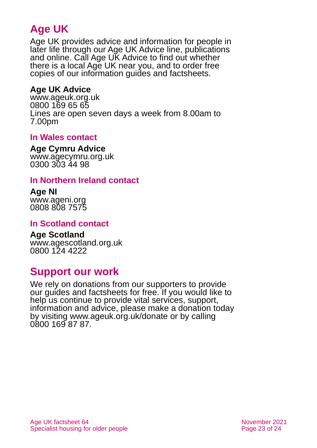# **Age UK**

Age UK provides advice and information for people in later life through our Age UK Advice line, publications and online. Call Age UK Advice to find out whether there is a local Age UK near you, and to order free copies of our information guides and factsheets.

#### <span id="page-22-1"></span>**Age UK Advice**

[www.ageuk.org.uk](http://www.ageuk.org.uk/) 0800 169 65 65 Lines are open seven days a week from 8.00am to 7.00pm

#### **In Wales contact**

#### **Age Cymru Advice**

[www.agecymru.org.uk](http://www.agecymru.org.uk/) 0300 303 44 98

#### <span id="page-22-0"></span>**In Northern Ireland contact**

#### **Age NI** [www.ageni.org](http://www.ageni.org/)

0808 808 7575

#### **In Scotland contact**

# <span id="page-22-2"></span>**Age Scotland**

[www.agescotland.org.uk](http://www.agescotland.org.uk/) 0800 124 4222

### **Support our work**

We rely on donations from our supporters to provide our guides and factsheets for free. If you would like to help us continue to provide vital services, support, information and advice, please make a donation today by visiting [www.ageuk.org.uk/donate](http://www.ageuk.org.uk/donate) or by calling 0800 169 87 87.